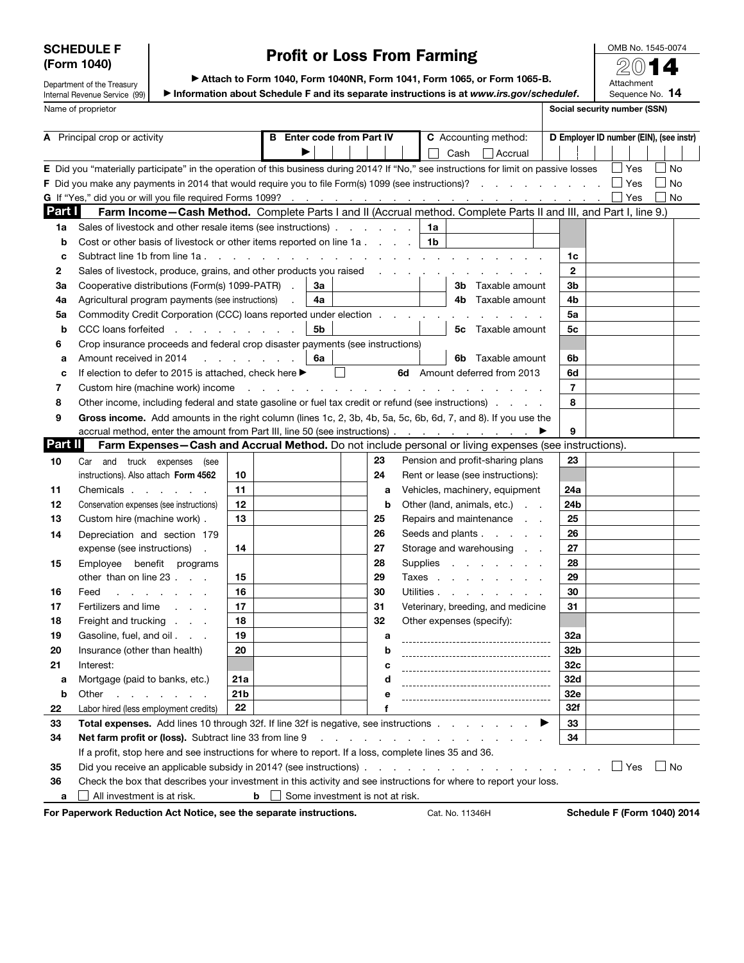## SCHEDULE F (Form 1040)

# Profit or Loss From Farming

OMB No. 1545-0074 2014

Attachment

Department of the Treasury Internal Revenue Service (99) Name of proprietor Social security number (SSN)

▶ Attach to Form 1040, Form 1040NR, Form 1041, Form 1065, or Form 1065-B. ▶ Information about Schedule F and its separate instructions is at *www.irs.gov/schedulef*.

Sequence No. 14

| Part I<br>1a<br>b<br>c<br>2<br>За<br>4a<br>5a | E Did you "materially participate" in the operation of this business during 2014? If "No," see instructions for limit on passive losses<br>F Did you make any payments in 2014 that would require you to file Form(s) 1099 (see instructions)? $\Box$ Yes<br>Farm Income-Cash Method. Complete Parts I and II (Accrual method. Complete Parts II and III, and Part I, line 9.)<br>Sales of livestock and other resale items (see instructions)<br>Cost or other basis of livestock or other items reported on line 1a.<br>Subtract line 1b from line 1a.<br>Sales of livestock, produce, grains, and other products you raised<br>Cooperative distributions (Form(s) 1099-PATR).<br>Agricultural program payments (see instructions)<br>Commodity Credit Corporation (CCC) loans reported under election<br>CCC loans forfeited<br>Crop insurance proceeds and federal crop disaster payments (see instructions) |                             | За<br>4a                                            |   |    | 1a<br>1b<br>and a straightful contract and a | Cash            | Accrual<br>and the contract of the contract of the contract of the contract of the contract of                                                                                                                                 | 1c<br>$\mathbf{2}$      |  | Yes<br>$\Box$ Yes                  | No<br>l INo<br>No |  |
|-----------------------------------------------|------------------------------------------------------------------------------------------------------------------------------------------------------------------------------------------------------------------------------------------------------------------------------------------------------------------------------------------------------------------------------------------------------------------------------------------------------------------------------------------------------------------------------------------------------------------------------------------------------------------------------------------------------------------------------------------------------------------------------------------------------------------------------------------------------------------------------------------------------------------------------------------------------------------|-----------------------------|-----------------------------------------------------|---|----|----------------------------------------------|-----------------|--------------------------------------------------------------------------------------------------------------------------------------------------------------------------------------------------------------------------------|-------------------------|--|------------------------------------|-------------------|--|
|                                               |                                                                                                                                                                                                                                                                                                                                                                                                                                                                                                                                                                                                                                                                                                                                                                                                                                                                                                                  |                             |                                                     |   |    |                                              |                 |                                                                                                                                                                                                                                |                         |  |                                    |                   |  |
|                                               |                                                                                                                                                                                                                                                                                                                                                                                                                                                                                                                                                                                                                                                                                                                                                                                                                                                                                                                  |                             |                                                     |   |    |                                              |                 |                                                                                                                                                                                                                                |                         |  |                                    |                   |  |
|                                               |                                                                                                                                                                                                                                                                                                                                                                                                                                                                                                                                                                                                                                                                                                                                                                                                                                                                                                                  |                             |                                                     |   |    |                                              |                 |                                                                                                                                                                                                                                |                         |  |                                    |                   |  |
|                                               |                                                                                                                                                                                                                                                                                                                                                                                                                                                                                                                                                                                                                                                                                                                                                                                                                                                                                                                  |                             |                                                     |   |    |                                              |                 |                                                                                                                                                                                                                                |                         |  |                                    |                   |  |
|                                               |                                                                                                                                                                                                                                                                                                                                                                                                                                                                                                                                                                                                                                                                                                                                                                                                                                                                                                                  |                             |                                                     |   |    |                                              |                 |                                                                                                                                                                                                                                |                         |  |                                    |                   |  |
|                                               |                                                                                                                                                                                                                                                                                                                                                                                                                                                                                                                                                                                                                                                                                                                                                                                                                                                                                                                  |                             |                                                     |   |    |                                              |                 |                                                                                                                                                                                                                                |                         |  |                                    |                   |  |
|                                               |                                                                                                                                                                                                                                                                                                                                                                                                                                                                                                                                                                                                                                                                                                                                                                                                                                                                                                                  |                             |                                                     |   |    |                                              |                 |                                                                                                                                                                                                                                |                         |  |                                    |                   |  |
|                                               |                                                                                                                                                                                                                                                                                                                                                                                                                                                                                                                                                                                                                                                                                                                                                                                                                                                                                                                  |                             |                                                     |   |    |                                              |                 |                                                                                                                                                                                                                                |                         |  |                                    |                   |  |
|                                               |                                                                                                                                                                                                                                                                                                                                                                                                                                                                                                                                                                                                                                                                                                                                                                                                                                                                                                                  |                             |                                                     |   |    |                                              |                 |                                                                                                                                                                                                                                |                         |  |                                    |                   |  |
|                                               |                                                                                                                                                                                                                                                                                                                                                                                                                                                                                                                                                                                                                                                                                                                                                                                                                                                                                                                  |                             |                                                     |   |    |                                              |                 | <b>3b</b> Taxable amount                                                                                                                                                                                                       | 3b                      |  |                                    |                   |  |
|                                               |                                                                                                                                                                                                                                                                                                                                                                                                                                                                                                                                                                                                                                                                                                                                                                                                                                                                                                                  |                             |                                                     |   |    |                                              |                 | 4b Taxable amount                                                                                                                                                                                                              | 4b                      |  |                                    |                   |  |
|                                               |                                                                                                                                                                                                                                                                                                                                                                                                                                                                                                                                                                                                                                                                                                                                                                                                                                                                                                                  |                             |                                                     |   |    |                                              |                 |                                                                                                                                                                                                                                | 5a                      |  |                                    |                   |  |
| b                                             |                                                                                                                                                                                                                                                                                                                                                                                                                                                                                                                                                                                                                                                                                                                                                                                                                                                                                                                  |                             | 5b                                                  |   |    |                                              |                 | <b>5c</b> Taxable amount                                                                                                                                                                                                       | 5c                      |  |                                    |                   |  |
| 6                                             |                                                                                                                                                                                                                                                                                                                                                                                                                                                                                                                                                                                                                                                                                                                                                                                                                                                                                                                  |                             |                                                     |   |    |                                              |                 |                                                                                                                                                                                                                                |                         |  |                                    |                   |  |
| а                                             | Amount received in 2014                                                                                                                                                                                                                                                                                                                                                                                                                                                                                                                                                                                                                                                                                                                                                                                                                                                                                          | and a state of the state of | 6a                                                  |   |    |                                              | 6b              | Taxable amount                                                                                                                                                                                                                 | 6b                      |  |                                    |                   |  |
| c                                             | If election to defer to 2015 is attached, check here ▶                                                                                                                                                                                                                                                                                                                                                                                                                                                                                                                                                                                                                                                                                                                                                                                                                                                           |                             |                                                     | ப |    |                                              |                 | 6d Amount deferred from 2013                                                                                                                                                                                                   | 6d                      |  |                                    |                   |  |
| 7                                             | Custom hire (machine work) income                                                                                                                                                                                                                                                                                                                                                                                                                                                                                                                                                                                                                                                                                                                                                                                                                                                                                |                             | the contract of the contract of the contract of the |   |    |                                              | $\sim$ $\sim$   |                                                                                                                                                                                                                                | $\overline{\mathbf{r}}$ |  |                                    |                   |  |
| 8                                             | Other income, including federal and state gasoline or fuel tax credit or refund (see instructions).                                                                                                                                                                                                                                                                                                                                                                                                                                                                                                                                                                                                                                                                                                                                                                                                              |                             |                                                     |   |    |                                              |                 |                                                                                                                                                                                                                                | 8                       |  |                                    |                   |  |
| 9                                             | Gross income. Add amounts in the right column (lines 1c, 2, 3b, 4b, 5a, 5c, 6b, 6d, 7, and 8). If you use the                                                                                                                                                                                                                                                                                                                                                                                                                                                                                                                                                                                                                                                                                                                                                                                                    |                             |                                                     |   |    |                                              |                 |                                                                                                                                                                                                                                |                         |  |                                    |                   |  |
|                                               | accrual method, enter the amount from Part III, line 50 (see instructions)                                                                                                                                                                                                                                                                                                                                                                                                                                                                                                                                                                                                                                                                                                                                                                                                                                       |                             |                                                     |   |    |                                              |                 |                                                                                                                                                                                                                                | 9                       |  |                                    |                   |  |
| Part II                                       | Farm Expenses-Cash and Accrual Method. Do not include personal or living expenses (see instructions).                                                                                                                                                                                                                                                                                                                                                                                                                                                                                                                                                                                                                                                                                                                                                                                                            |                             |                                                     |   |    |                                              |                 |                                                                                                                                                                                                                                |                         |  |                                    |                   |  |
| 10                                            | and truck expenses<br>Car<br>(see                                                                                                                                                                                                                                                                                                                                                                                                                                                                                                                                                                                                                                                                                                                                                                                                                                                                                |                             |                                                     |   | 23 |                                              |                 | Pension and profit-sharing plans                                                                                                                                                                                               | 23                      |  |                                    |                   |  |
|                                               | instructions). Also attach Form 4562                                                                                                                                                                                                                                                                                                                                                                                                                                                                                                                                                                                                                                                                                                                                                                                                                                                                             | 10                          |                                                     |   | 24 |                                              |                 | Rent or lease (see instructions):                                                                                                                                                                                              |                         |  |                                    |                   |  |
| 11                                            | Chemicals                                                                                                                                                                                                                                                                                                                                                                                                                                                                                                                                                                                                                                                                                                                                                                                                                                                                                                        | 11                          |                                                     |   | a  |                                              |                 | Vehicles, machinery, equipment                                                                                                                                                                                                 | 24a                     |  |                                    |                   |  |
| 12                                            | Conservation expenses (see instructions)                                                                                                                                                                                                                                                                                                                                                                                                                                                                                                                                                                                                                                                                                                                                                                                                                                                                         | 12                          |                                                     |   | b  |                                              |                 | Other (land, animals, etc.)                                                                                                                                                                                                    | 24b                     |  |                                    |                   |  |
| 13                                            | Custom hire (machine work).                                                                                                                                                                                                                                                                                                                                                                                                                                                                                                                                                                                                                                                                                                                                                                                                                                                                                      | 13                          |                                                     |   | 25 |                                              |                 | Repairs and maintenance                                                                                                                                                                                                        | 25                      |  |                                    |                   |  |
| 14                                            | Depreciation and section 179                                                                                                                                                                                                                                                                                                                                                                                                                                                                                                                                                                                                                                                                                                                                                                                                                                                                                     |                             |                                                     |   | 26 |                                              |                 | Seeds and plants                                                                                                                                                                                                               | 26                      |  |                                    |                   |  |
|                                               | expense (see instructions)                                                                                                                                                                                                                                                                                                                                                                                                                                                                                                                                                                                                                                                                                                                                                                                                                                                                                       | 14                          |                                                     |   | 27 |                                              |                 | Storage and warehousing                                                                                                                                                                                                        | 27                      |  |                                    |                   |  |
| 15                                            | Employee benefit programs                                                                                                                                                                                                                                                                                                                                                                                                                                                                                                                                                                                                                                                                                                                                                                                                                                                                                        |                             |                                                     |   | 28 |                                              |                 | Supplies                                                                                                                                                                                                                       | 28                      |  |                                    |                   |  |
|                                               | other than on line 23                                                                                                                                                                                                                                                                                                                                                                                                                                                                                                                                                                                                                                                                                                                                                                                                                                                                                            | 15                          |                                                     |   | 29 |                                              |                 | Taxes                                                                                                                                                                                                                          | 29                      |  |                                    |                   |  |
| 16                                            | Feed<br>and the company of the company of the                                                                                                                                                                                                                                                                                                                                                                                                                                                                                                                                                                                                                                                                                                                                                                                                                                                                    | 16                          |                                                     |   | 30 |                                              |                 | Utilities                                                                                                                                                                                                                      | 30                      |  |                                    |                   |  |
| 17                                            | Fertilizers and lime<br>and the contract of                                                                                                                                                                                                                                                                                                                                                                                                                                                                                                                                                                                                                                                                                                                                                                                                                                                                      | 17                          |                                                     |   | 31 |                                              |                 | Veterinary, breeding, and medicine                                                                                                                                                                                             | 31                      |  |                                    |                   |  |
| 18                                            | Freight and trucking                                                                                                                                                                                                                                                                                                                                                                                                                                                                                                                                                                                                                                                                                                                                                                                                                                                                                             | 18                          |                                                     |   | 32 |                                              |                 | Other expenses (specify):                                                                                                                                                                                                      |                         |  |                                    |                   |  |
| 19                                            | Gasoline, fuel, and oil                                                                                                                                                                                                                                                                                                                                                                                                                                                                                                                                                                                                                                                                                                                                                                                                                                                                                          | 19                          |                                                     |   | а  |                                              |                 |                                                                                                                                                                                                                                | 32a                     |  |                                    |                   |  |
| 20                                            | Insurance (other than health)                                                                                                                                                                                                                                                                                                                                                                                                                                                                                                                                                                                                                                                                                                                                                                                                                                                                                    | 20                          |                                                     |   | b  |                                              |                 |                                                                                                                                                                                                                                | 32b                     |  |                                    |                   |  |
| 21                                            | Interest:                                                                                                                                                                                                                                                                                                                                                                                                                                                                                                                                                                                                                                                                                                                                                                                                                                                                                                        |                             |                                                     |   |    |                                              |                 |                                                                                                                                                                                                                                | 32c                     |  |                                    |                   |  |
| а                                             | Mortgage (paid to banks, etc.)                                                                                                                                                                                                                                                                                                                                                                                                                                                                                                                                                                                                                                                                                                                                                                                                                                                                                   | 21a                         |                                                     |   | d  |                                              |                 |                                                                                                                                                                                                                                | 32d                     |  |                                    |                   |  |
| b                                             | Other<br>and a strain and a strain a                                                                                                                                                                                                                                                                                                                                                                                                                                                                                                                                                                                                                                                                                                                                                                                                                                                                             | 21 <sub>b</sub>             |                                                     |   | е  |                                              |                 |                                                                                                                                                                                                                                | 32e                     |  |                                    |                   |  |
| 22                                            | Labor hired (less employment credits)                                                                                                                                                                                                                                                                                                                                                                                                                                                                                                                                                                                                                                                                                                                                                                                                                                                                            | 22                          |                                                     |   | f  |                                              |                 |                                                                                                                                                                                                                                | <b>32f</b>              |  |                                    |                   |  |
| 33                                            | <b>Total expenses.</b> Add lines 10 through 32f. If line 32f is negative, see instructions                                                                                                                                                                                                                                                                                                                                                                                                                                                                                                                                                                                                                                                                                                                                                                                                                       |                             |                                                     |   |    |                                              |                 |                                                                                                                                                                                                                                | ▶<br>33                 |  |                                    |                   |  |
| 34                                            | Net farm profit or (loss). Subtract line 33 from line 9                                                                                                                                                                                                                                                                                                                                                                                                                                                                                                                                                                                                                                                                                                                                                                                                                                                          |                             |                                                     |   |    |                                              |                 | the contract of the contract of the contract of the contract of the contract of the contract of the contract of the contract of the contract of the contract of the contract of the contract of the contract of the contract o | 34                      |  |                                    |                   |  |
|                                               | If a profit, stop here and see instructions for where to report. If a loss, complete lines 35 and 36.                                                                                                                                                                                                                                                                                                                                                                                                                                                                                                                                                                                                                                                                                                                                                                                                            |                             |                                                     |   |    |                                              |                 |                                                                                                                                                                                                                                |                         |  |                                    |                   |  |
| 35                                            |                                                                                                                                                                                                                                                                                                                                                                                                                                                                                                                                                                                                                                                                                                                                                                                                                                                                                                                  |                             |                                                     |   |    |                                              |                 |                                                                                                                                                                                                                                |                         |  | $\Box$ Yes                         | l No              |  |
| 36                                            | Check the box that describes your investment in this activity and see instructions for where to report your loss.                                                                                                                                                                                                                                                                                                                                                                                                                                                                                                                                                                                                                                                                                                                                                                                                |                             |                                                     |   |    |                                              |                 |                                                                                                                                                                                                                                |                         |  |                                    |                   |  |
| a                                             | All investment is at risk.<br>For Paperwork Reduction Act Notice, see the separate instructions.                                                                                                                                                                                                                                                                                                                                                                                                                                                                                                                                                                                                                                                                                                                                                                                                                 | $b$                         | Some investment is not at risk.                     |   |    |                                              | Cat. No. 11346H |                                                                                                                                                                                                                                |                         |  | <b>Schedule F (Form 1040) 2014</b> |                   |  |